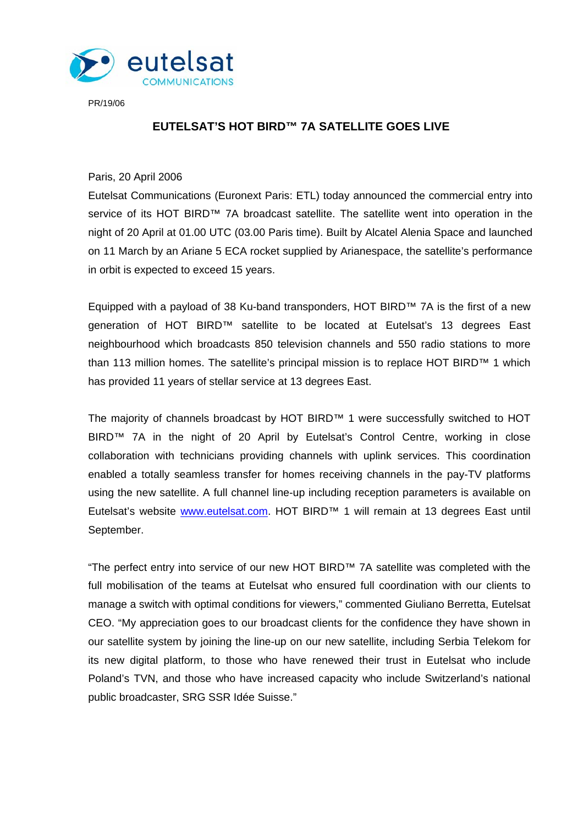

PR/19/06

## **EUTELSAT'S HOT BIRD™ 7A SATELLITE GOES LIVE**

Paris, 20 April 2006

Eutelsat Communications (Euronext Paris: ETL) today announced the commercial entry into service of its HOT BIRD™ 7A broadcast satellite. The satellite went into operation in the night of 20 April at 01.00 UTC (03.00 Paris time). Built by Alcatel Alenia Space and launched on 11 March by an Ariane 5 ECA rocket supplied by Arianespace, the satellite's performance in orbit is expected to exceed 15 years.

Equipped with a payload of 38 Ku-band transponders, HOT BIRD™ 7A is the first of a new generation of HOT BIRD™ satellite to be located at Eutelsat's 13 degrees East neighbourhood which broadcasts 850 television channels and 550 radio stations to more than 113 million homes. The satellite's principal mission is to replace HOT BIRD™ 1 which has provided 11 years of stellar service at 13 degrees East.

The majority of channels broadcast by HOT BIRD™ 1 were successfully switched to HOT BIRD™ 7A in the night of 20 April by Eutelsat's Control Centre, working in close collaboration with technicians providing channels with uplink services. This coordination enabled a totally seamless transfer for homes receiving channels in the pay-TV platforms using the new satellite. A full channel line-up including reception parameters is available on Eutelsat's website www.eutelsat.com. HOT BIRD<sup>™</sup> 1 will remain at 13 degrees East until September.

"The perfect entry into service of our new HOT BIRD™ 7A satellite was completed with the full mobilisation of the teams at Eutelsat who ensured full coordination with our clients to manage a switch with optimal conditions for viewers," commented Giuliano Berretta, Eutelsat CEO. "My appreciation goes to our broadcast clients for the confidence they have shown in our satellite system by joining the line-up on our new satellite, including Serbia Telekom for its new digital platform, to those who have renewed their trust in Eutelsat who include Poland's TVN, and those who have increased capacity who include Switzerland's national public broadcaster, SRG SSR Idée Suisse."